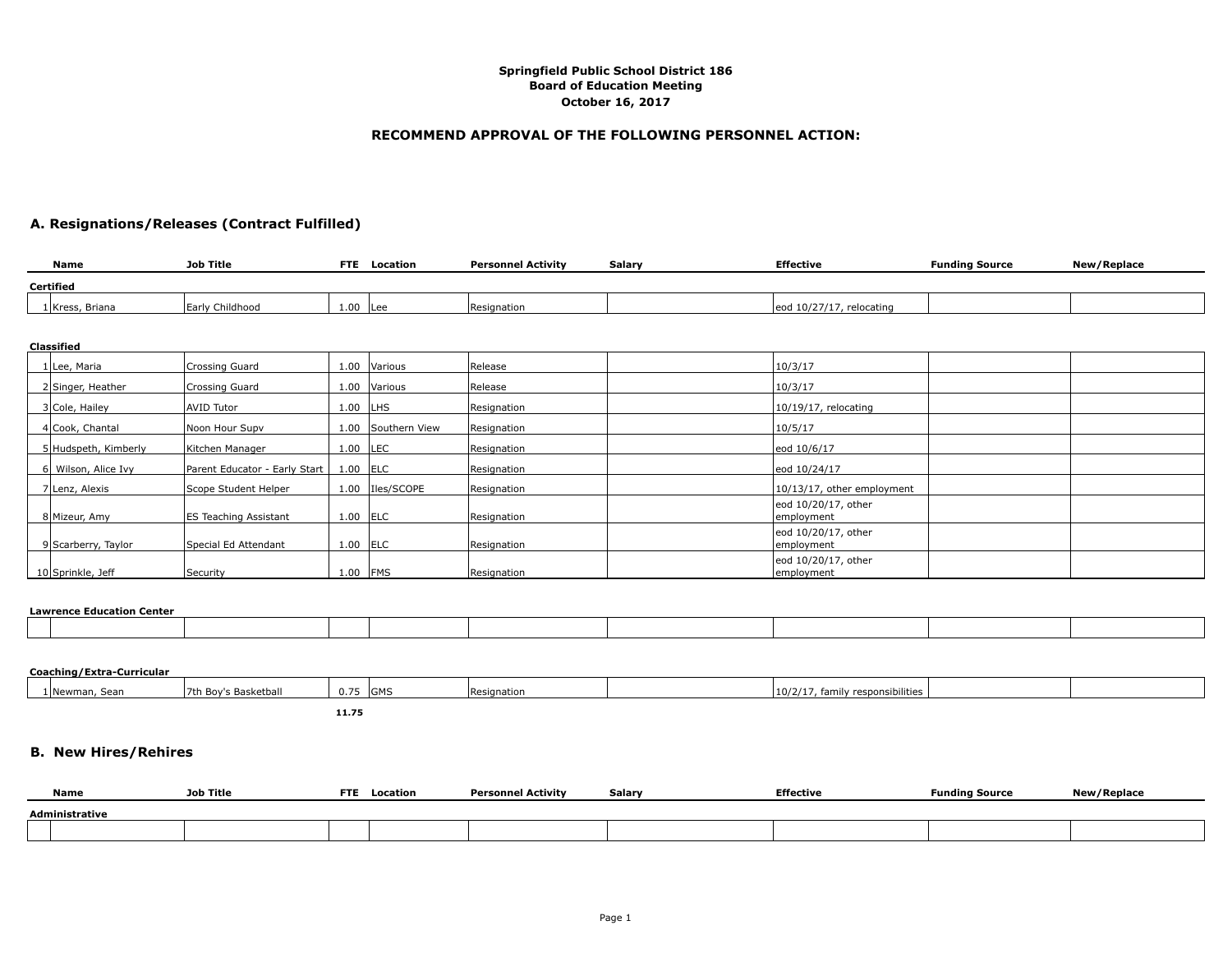#### **RECOMMEND APPROVAL OF THE FOLLOWING PERSONNEL ACTION:**

### **A. Resignations/Releases (Contract Fulfilled)**

| <b>Name</b>      | Job Title       | <b>FTE</b> | Location | <b>Personnel Activity</b> | Salarv | <b>Effective</b>         | <b>Funding Source</b> | New/Replace |
|------------------|-----------------|------------|----------|---------------------------|--------|--------------------------|-----------------------|-------------|
| <b>Certified</b> |                 |            |          |                           |        |                          |                       |             |
| 1 Kress, Briana  | Early Childhood | 1.00       | Lee      | Resignation               |        | eod 10/27/17, relocating |                       |             |
|                  |                 |            |          |                           |        |                          |                       |             |

| стаээнтей            |                               |            |                    |                |                                    |
|----------------------|-------------------------------|------------|--------------------|----------------|------------------------------------|
| 1 Lee, Maria         | Crossing Guard                |            | 1.00 Various       | Release        | 10/3/17                            |
| 2 Singer, Heather    | Crossing Guard                |            | 1.00   Various     | <b>Release</b> | 10/3/17                            |
| 3 Cole, Hailey       | <b>AVID Tutor</b>             | $1.00$ LHS |                    | Resignation    | $10/19/17$ , relocating            |
| 4 Cook, Chantal      | Noon Hour Supv                |            | 1.00 Southern View | Resignation    | 10/5/17                            |
| 5 Hudspeth, Kimberly | Kitchen Manager               | $1.00$ LEC |                    | Resignation    | eod 10/6/17                        |
| 6 Wilson, Alice Ivy  | Parent Educator - Early Start | $1.00$ ELC |                    | Resignation    | eod 10/24/17                       |
| 7 Lenz, Alexis       | Scope Student Helper          |            | 1.00   Iles/SCOPE  | Resignation    | 10/13/17, other employment         |
| 8 Mizeur, Amy        | ES Teaching Assistant         | $1.00$ ELC |                    | Resignation    | eod 10/20/17, other<br>lemployment |
| 9 Scarberry, Taylor  | Special Ed Attendant          | 1.00       | <b>ELC</b>         | Resignation    | eod 10/20/17, other<br>employment  |
| 10 Sprinkle, Jeff    | Security                      | $1.00$ FMS |                    | Resignation    | eod 10/20/17, other<br>employment  |

#### **Lawrence Education Center**

**Classified**

| cam chec caucation echicu |  |  |  |  |  |  |  |  |  |
|---------------------------|--|--|--|--|--|--|--|--|--|
|                           |  |  |  |  |  |  |  |  |  |
|                           |  |  |  |  |  |  |  |  |  |
|                           |  |  |  |  |  |  |  |  |  |
|                           |  |  |  |  |  |  |  |  |  |
|                           |  |  |  |  |  |  |  |  |  |
|                           |  |  |  |  |  |  |  |  |  |
|                           |  |  |  |  |  |  |  |  |  |

# **Coaching/Extra-Curricular** 1 Newman, Sean 7th Boy's Basketball 0.75 GMS Resignation 10/2/17, family responsibilities **11.75 B. New Hires/Rehires**

| Name           | Job Title | <b>FTE</b> | Location | Personnel Activity | Salary | <b>Effective</b> | <b>Funding Source</b> | New/Replace |  |  |
|----------------|-----------|------------|----------|--------------------|--------|------------------|-----------------------|-------------|--|--|
| Administrative |           |            |          |                    |        |                  |                       |             |  |  |
|                |           |            |          |                    |        |                  |                       |             |  |  |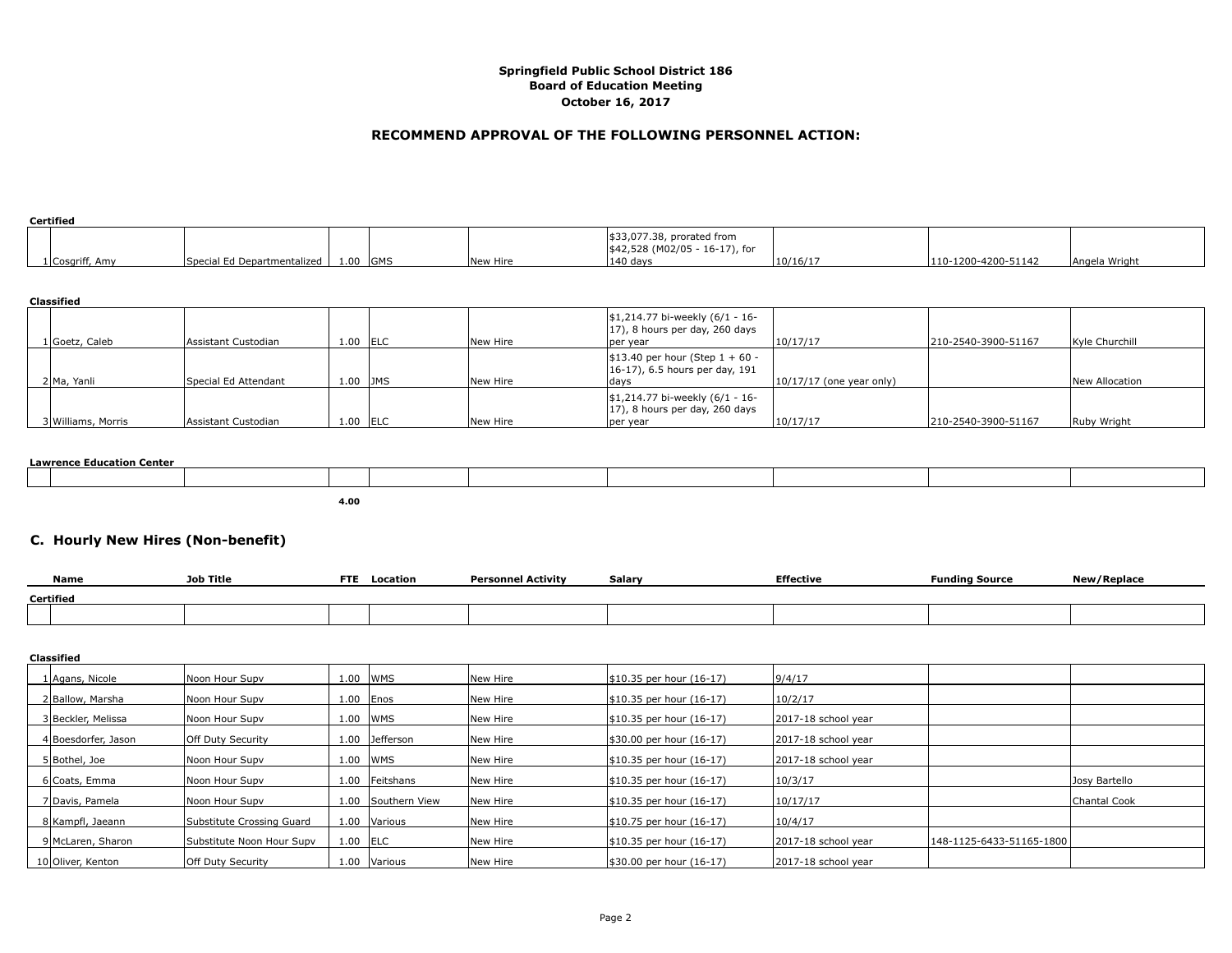#### **RECOMMEND APPROVAL OF THE FOLLOWING PERSONNEL ACTION:**

| Certified       |                             |      |            |          |                                                                    |          |                     |               |  |  |
|-----------------|-----------------------------|------|------------|----------|--------------------------------------------------------------------|----------|---------------------|---------------|--|--|
|                 |                             |      |            |          | $ $33,077.38$ , prorated from<br>$ $42,528 (M02/05 - 16-17)$ , for |          |                     |               |  |  |
| 1 Cosgriff, Amy | Special Ed Departmentalized | 1.00 | <b>GMS</b> | New Hire | $ 140 \text{ days} $                                               | 10/16/17 | 110-1200-4200-51142 | Angela Wright |  |  |

| Classified         |                      |            |             |          |                                                                                     |                            |                     |                |  |  |  |
|--------------------|----------------------|------------|-------------|----------|-------------------------------------------------------------------------------------|----------------------------|---------------------|----------------|--|--|--|
| 1 Goetz, Caleb     | Assistant Custodian  | 1.00       | <b>IELC</b> | New Hire | \$1,214.77 bi-weekly (6/1 - 16-<br>$(17)$ , 8 hours per day, 260 days<br>per year   | 10/17/17                   | 210-2540-3900-51167 | Kyle Churchill |  |  |  |
| 2 Ma, Yanli        | Special Ed Attendant | 1.00       | <b>JMS</b>  | New Hire | $ \$13.40$ per hour (Step $1 + 60 -$<br>$(16-17)$ , 6.5 hours per day, 191<br> days | $10/17/17$ (one year only) |                     | New Allocation |  |  |  |
| 3 Williams, Morris | Assistant Custodian  | $1.00$ ELC |             | New Hire | \$1,214.77 bi-weekly (6/1 - 16-<br>$(17)$ , 8 hours per day, 260 days<br>per year   | 10/17/17                   | 210-2540-3900-51167 | Ruby Wright    |  |  |  |

#### **Lawrence Education Center**

**4.00**

## **C. Hourly New Hires (Non-benefit)**

|           | <b>Name</b> | <b>Job Title</b> | <b>FTE</b> | Location | Personnel Activity | Salar | <b>Effective</b> | <sup>=</sup> undina Source | <b>Danlar</b><br>wac |
|-----------|-------------|------------------|------------|----------|--------------------|-------|------------------|----------------------------|----------------------|
| Certified |             |                  |            |          |                    |       |                  |                            |                      |
|           |             |                  |            |          |                    |       |                  |                            |                      |

| Classified          |                           |            |               |          |                             |                     |                          |               |  |  |  |
|---------------------|---------------------------|------------|---------------|----------|-----------------------------|---------------------|--------------------------|---------------|--|--|--|
| 1 Agans, Nicole     | Noon Hour Supv            | 1.00       | <b>IWMS</b>   | New Hire | $$10.35$ per hour $(16-17)$ | 9/4/17              |                          |               |  |  |  |
| 2 Ballow, Marsha    | Noon Hour Supv            |            | $1.00$   Enos | New Hire | $$10.35$ per hour $(16-17)$ | 10/2/17             |                          |               |  |  |  |
| 3 Beckler, Melissa  | Noon Hour Supv            | 1.00       | <b>IWMS</b>   | New Hire | $$10.35$ per hour $(16-17)$ | 2017-18 school year |                          |               |  |  |  |
| 4 Boesdorfer, Jason | <b>Off Duty Security</b>  | 1.00       | Jefferson     | New Hire | \$30.00 per hour (16-17)    | 2017-18 school year |                          |               |  |  |  |
| 5 Bothel, Joe       | Noon Hour Supv            | 1.00       | <b>IWMS</b>   | New Hire | $$10.35$ per hour $(16-17)$ | 2017-18 school year |                          |               |  |  |  |
| 6 Coats, Emma       | Noon Hour Supv            | 1.00       | Feitshans     | New Hire | $$10.35$ per hour $(16-17)$ | 10/3/17             |                          | Josy Bartello |  |  |  |
| 7 Davis, Pamela     | Noon Hour Supv            | 1.00       | Southern View | New Hire | $$10.35$ per hour $(16-17)$ | 10/17/17            |                          | Chantal Cook  |  |  |  |
| 8 Kampfl, Jaeann    | Substitute Crossing Guard |            | 1.00 Various  | New Hire | $$10.75$ per hour $(16-17)$ | 10/4/17             |                          |               |  |  |  |
| 9 McLaren, Sharon   | Substitute Noon Hour Supv | 1.00   ELC |               | New Hire | $$10.35$ per hour $(16-17)$ | 2017-18 school year | 148-1125-6433-51165-1800 |               |  |  |  |
| 10 Oliver, Kenton   | <b>Off Duty Security</b>  |            | 1.00 Various  | New Hire | \$30.00 per hour (16-17)    | 2017-18 school vear |                          |               |  |  |  |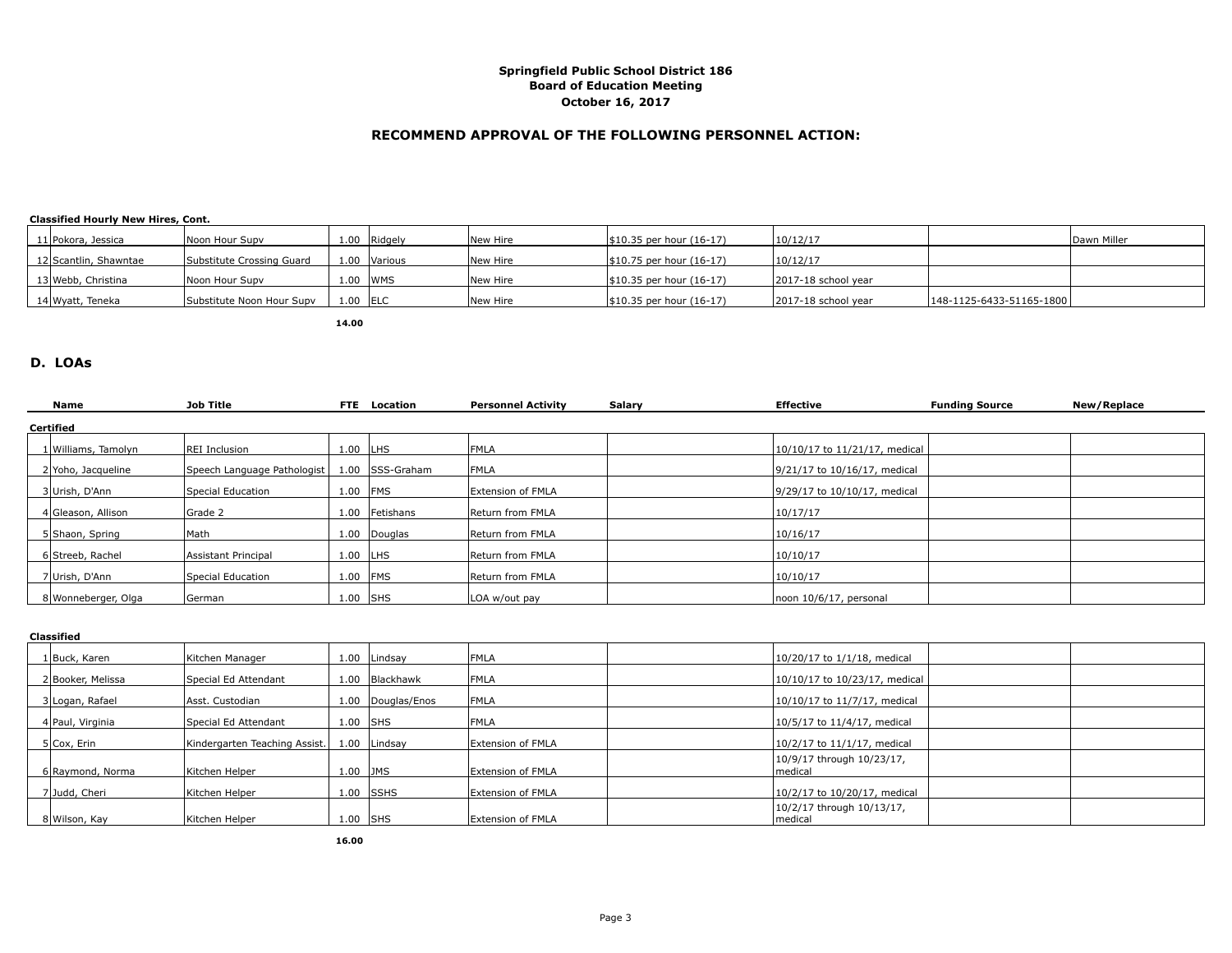#### **RECOMMEND APPROVAL OF THE FOLLOWING PERSONNEL ACTION:**

**Classified Hourly New Hires, Cont.**

| 11 Pokora, Jessica    | Noon Hour Supy            |           | 1.00 Ridgely   | <b>INew Hire</b> | $ $10.35$ per hour $(16-17)$ | 10/12/17            |                          | Dawn Miller |
|-----------------------|---------------------------|-----------|----------------|------------------|------------------------------|---------------------|--------------------------|-------------|
| 12 Scantlin, Shawntae | Substitute Crossing Guard | 1.00      | <i>Various</i> | <b>New Hire</b>  | $ $10.75$ per hour $(16-17)$ | 10/12/17            |                          |             |
| 13 Webb, Christina    | Noon Hour Supy            | 1.00 IWMS |                | <b>INew Hire</b> | $ $10.35$ per hour $(16-17)$ | 2017-18 school vear |                          |             |
| 14 Wyatt, Teneka      | Substitute Noon Hour Supv | 1.00 IELC |                | New Hire         | $ $10.35$ per hour $(16-17)$ | 2017-18 school year | 148-1125-6433-51165-1800 |             |

**14.00**

#### **D. LOAs**

| Name                | <b>Job Title</b>            |            | <b>FTE</b> Location | <b>Personnel Activity</b> | Salary | <b>Effective</b>              | <b>Funding Source</b> | New/Replace |
|---------------------|-----------------------------|------------|---------------------|---------------------------|--------|-------------------------------|-----------------------|-------------|
| Certified           |                             |            |                     |                           |        |                               |                       |             |
| 1 Williams, Tamolyn | REI Inclusion               | $1.00$ LHS |                     | <b>FMLA</b>               |        | 10/10/17 to 11/21/17, medical |                       |             |
| 2 Yoho, Jacqueline  | Speech Language Pathologist |            | 1.00 SSS-Graham     | <b>IFMLA</b>              |        | 9/21/17 to 10/16/17, medical  |                       |             |
| 3Urish, D'Ann       | Special Education           | 1.00       | <b>IFMS</b>         | <b>Extension of FMLA</b>  |        | 9/29/17 to 10/10/17, medical  |                       |             |
| 4 Gleason, Allison  | Grade 2                     |            | 1.00 Fetishans      | Return from FMLA          |        | 10/17/17                      |                       |             |
| 5 Shaon, Spring     | Math                        |            | 1.00 Douglas        | Return from FMLA          |        | 10/16/17                      |                       |             |
| 6 Streeb, Rachel    | Assistant Principal         | $1.00$ LHS |                     | Return from FMLA          |        | 10/10/17                      |                       |             |
| 7Urish, D'Ann       | Special Education           | 1.00       | <b>IFMS</b>         | Return from FMLA          |        | 10/10/17                      |                       |             |
| 8 Wonneberger, Olga | German                      | $1.00$ SHS |                     | LOA w/out pay             |        | noon 10/6/17, personal        |                       |             |
|                     |                             |            |                     |                           |        |                               |                       |             |

| Classified        |                               |            |                   |                          |                                       |  |  |  |  |  |  |
|-------------------|-------------------------------|------------|-------------------|--------------------------|---------------------------------------|--|--|--|--|--|--|
| 1 Buck, Karen     | Kitchen Manager               |            | 1.00 Lindsay      | FMLA                     | 10/20/17 to 1/1/18, medical           |  |  |  |  |  |  |
| 2 Booker, Melissa | Special Ed Attendant          | 1.00       | <b>Blackhawk</b>  | <b>FMLA</b>              | 10/10/17 to 10/23/17, medical         |  |  |  |  |  |  |
| 3 Logan, Rafael   | Asst. Custodian               |            | 1.00 Douglas/Enos | <b>FMLA</b>              | 10/10/17 to 11/7/17, medical          |  |  |  |  |  |  |
| 4 Paul, Virginia  | Special Ed Attendant          |            | $1.00$ SHS        | <b>FMLA</b>              | 10/5/17 to 11/4/17, medical           |  |  |  |  |  |  |
| 5 Cox, Erin       | Kindergarten Teaching Assist. |            | 1.00 Lindsay      | <b>Extension of FMLA</b> | 10/2/17 to 11/1/17, medical           |  |  |  |  |  |  |
| 6 Raymond, Norma  | Kitchen Helper                | $1.00$ JMS |                   | Extension of FMLA        | 10/9/17 through 10/23/17,<br> medical |  |  |  |  |  |  |
| 7 Judd, Cheri     | Kitchen Helper                |            | $1.00$ SSHS       | <b>Extension of FMLA</b> | 10/2/17 to 10/20/17, medical          |  |  |  |  |  |  |
| 8 Wilson, Kay     | Kitchen Helper                |            | $1.00$ SHS        | Extension of FMLA        | 10/2/17 through 10/13/17,<br> medical |  |  |  |  |  |  |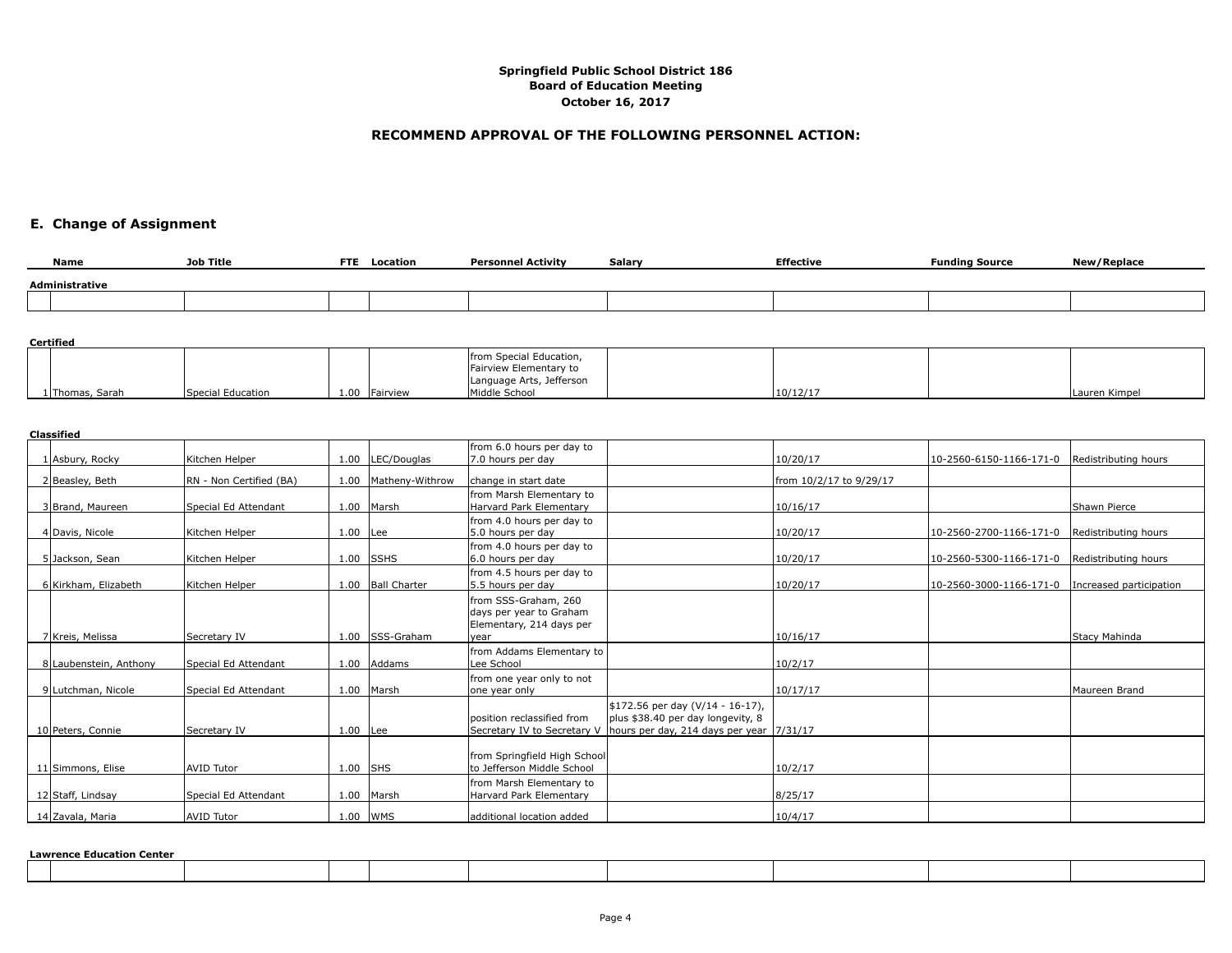#### **RECOMMEND APPROVAL OF THE FOLLOWING PERSONNEL ACTION:**

# **E. Change of Assignment**

| Name           | Job Title | <b>FTE</b><br>Location | <b>Personnel Activity</b> | Salary | <b>Effective</b> | <b>Funding Source</b> | New/Replace |
|----------------|-----------|------------------------|---------------------------|--------|------------------|-----------------------|-------------|
| Administrative |           |                        |                           |        |                  |                       |             |
|                |           |                        |                           |        |                  |                       |             |

#### **Certified**

|                 |                   |      |                 | from Special Education,<br>Fairview Elementary to |          |               |
|-----------------|-------------------|------|-----------------|---------------------------------------------------|----------|---------------|
|                 |                   |      |                 | Language Arts, Jefferson                          |          |               |
| 1 Thomas, Sarah | Special Education | 1.00 | <b>Fairview</b> | Middle School                                     | 10/12/17 | Lauren Kimpel |

#### **Classified**

|                        |                         |      |                     | from 6.0 hours per day to                                                           |                                                                                                                   |                         |                         |                         |
|------------------------|-------------------------|------|---------------------|-------------------------------------------------------------------------------------|-------------------------------------------------------------------------------------------------------------------|-------------------------|-------------------------|-------------------------|
| Asbury, Rocky          | Kitchen Helper          | 1.00 | LEC/Douglas         | 7.0 hours per day                                                                   |                                                                                                                   | 10/20/17                | 10-2560-6150-1166-171-0 | Redistributing hours    |
| 2 Beasley, Beth        | RN - Non Certified (BA) | 1.00 | Matheny-Withrow     | change in start date                                                                |                                                                                                                   | from 10/2/17 to 9/29/17 |                         |                         |
| 3 Brand, Maureen       | Special Ed Attendant    |      | 1.00 Marsh          | from Marsh Elementary to<br>Harvard Park Elementary                                 |                                                                                                                   | 10/16/17                |                         | Shawn Pierce            |
| 4 Davis, Nicole        | Kitchen Helper          | 1.00 | Lee                 | from 4.0 hours per day to<br>5.0 hours per day                                      |                                                                                                                   | 10/20/17                | 10-2560-2700-1166-171-0 | Redistributing hours    |
| 5 Jackson, Sean        | lKitchen Helper         |      | $1.00$ SSHS         | from 4.0 hours per day to<br>6.0 hours per day                                      |                                                                                                                   | 10/20/17                | 10-2560-5300-1166-171-0 | Redistributing hours    |
| 6 Kirkham, Elizabeth   | Kitchen Helper          | 1.00 | <b>Ball Charter</b> | from 4.5 hours per day to<br>5.5 hours per day                                      |                                                                                                                   | 10/20/17                | 10-2560-3000-1166-171-0 | Increased participation |
| 7 Kreis, Melissa       | Secretary IV            |      | 1.00 ISSS-Graham    | from SSS-Graham, 260<br>days per year to Graham<br>Elementary, 214 days per<br>vear |                                                                                                                   | 10/16/17                |                         | Stacy Mahinda           |
| 8 Laubenstein, Anthony | Special Ed Attendant    | 1.00 | Addams              | from Addams Elementary to<br>Lee School                                             |                                                                                                                   | 10/2/17                 |                         |                         |
| 9 Lutchman, Nicole     | Special Ed Attendant    | 1.00 | Marsh               | from one year only to not<br>one year only                                          |                                                                                                                   | 10/17/17                |                         | Maureen Brand           |
| 10 Peters, Connie      | Secretarv IV            | 1.00 | <b>ILee</b>         | position reclassified from<br>Secretary IV to Secretary V                           | \$172.56 per day (V/14 - 16-17),<br>plus \$38.40 per day longevity, 8<br>hours per day, 214 days per year 7/31/17 |                         |                         |                         |
| 11 Simmons, Elise      | <b>AVID Tutor</b>       | 1.00 | <b>SHS</b>          | from Springfield High School<br>to Jefferson Middle School                          |                                                                                                                   | 10/2/17                 |                         |                         |
| 12 Staff, Lindsay      | Special Ed Attendant    |      | 1.00 Marsh          | from Marsh Elementary to<br>Harvard Park Elementary                                 |                                                                                                                   | 8/25/17                 |                         |                         |
| 14 Zavala, Maria       | <b>AVID Tutor</b>       |      | $1.00$ WMS          | additional location added                                                           |                                                                                                                   | 10/4/17                 |                         |                         |

**Lawrence Education Center**

| awrence Euucacion center |  |  |  |  |  |  |  |  |  |  |
|--------------------------|--|--|--|--|--|--|--|--|--|--|
|                          |  |  |  |  |  |  |  |  |  |  |
|                          |  |  |  |  |  |  |  |  |  |  |
|                          |  |  |  |  |  |  |  |  |  |  |
|                          |  |  |  |  |  |  |  |  |  |  |
|                          |  |  |  |  |  |  |  |  |  |  |